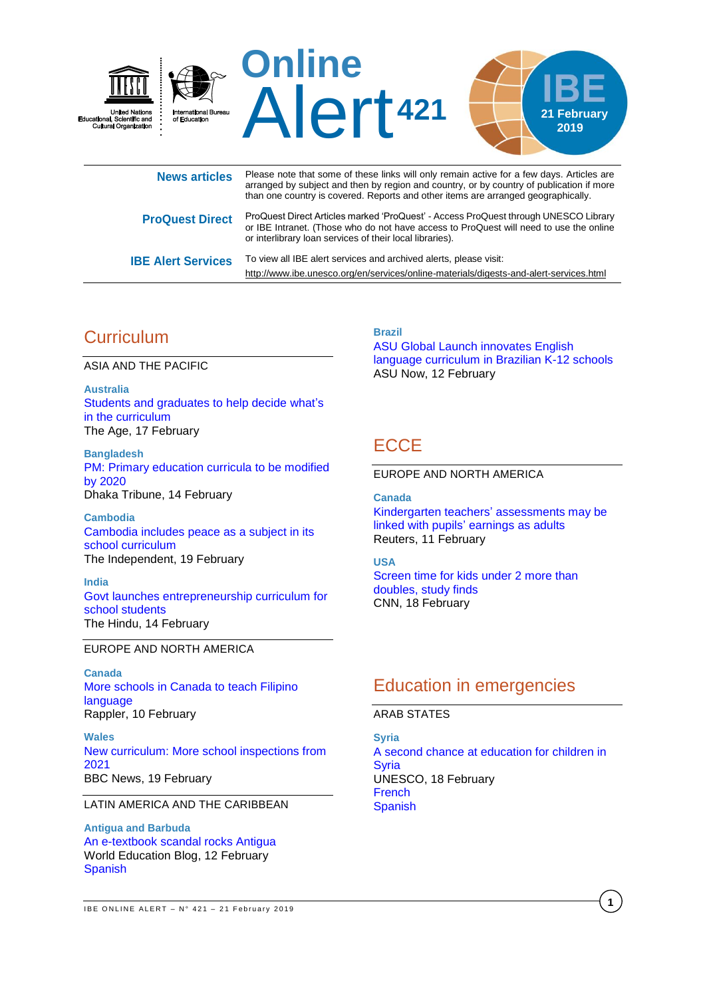

|                           | triari vile couriti y is covered. Reports and other items are arranged geographically.                                                                                                                                                    |
|---------------------------|-------------------------------------------------------------------------------------------------------------------------------------------------------------------------------------------------------------------------------------------|
| <b>ProQuest Direct</b>    | ProQuest Direct Articles marked 'ProQuest' - Access ProQuest through UNESCO Library<br>or IBE Intranet. (Those who do not have access to ProQuest will need to use the online<br>or interlibrary loan services of their local libraries). |
| <b>IBE Alert Services</b> | To view all IBE alert services and archived alerts, please visit:                                                                                                                                                                         |

# **Curriculum**

ASIA AND THE PACIFIC

**Australia** [Students and graduates to help decide](https://www.theage.com.au/national/victoria/students-and-graduates-to-help-decide-what-s-in-the-curriculum-20190217-p50ybq.html) what's [in the curriculum](https://www.theage.com.au/national/victoria/students-and-graduates-to-help-decide-what-s-in-the-curriculum-20190217-p50ybq.html) The Age, 17 February

**Bangladesh** [PM: Primary education curricula to be modified](https://www.dhakatribune.com/bangladesh/parliament/2019/02/14/pm-primary-education-curricula-to-be-modified-by-2020)  [by 2020](https://www.dhakatribune.com/bangladesh/parliament/2019/02/14/pm-primary-education-curricula-to-be-modified-by-2020) Dhaka Tribune, 14 February

**Cambodia** [Cambodia includes peace as a subject in its](http://theindependent.sg/cambodia-includes-peace-as-a-subject-in-its-school-curriculum/)  [school curriculum](http://theindependent.sg/cambodia-includes-peace-as-a-subject-in-its-school-curriculum/) The Independent, 19 February

**India** [Govt launches entrepreneurship curriculum for](https://www.thehindu.com/news/cities/Delhi/govt-launches-entrepreneurship-curriculum-for-school-students/article26262816.ece)  [school students](https://www.thehindu.com/news/cities/Delhi/govt-launches-entrepreneurship-curriculum-for-school-students/article26262816.ece) The Hindu, 14 February

### EUROPE AND NORTH AMERICA

**Canada** [More schools in Canada to teach Filipino](https://www.rappler.com/nation/223141-alberta-canada-schools-offer-filipino-language-program-2020)  [language](https://www.rappler.com/nation/223141-alberta-canada-schools-offer-filipino-language-program-2020) Rappler, 10 February

**Wales** [New curriculum: More school inspections from](https://www.bbc.com/news/uk-wales-47285071)  [2021](https://www.bbc.com/news/uk-wales-47285071) BBC News, 19 February

### LATIN AMERICA AND THE CARIBBEAN

**Antigua and Barbuda** [An e-textbook scandal rocks Antigua](https://gemreportunesco.wordpress.com/2019/02/08/an-e-textbook-scandal-rocks-antigua/) World Education Blog, 12 February [Spanish](https://educacionmundialblog.wordpress.com/2019/02/18/un-libro-de-texto-electronico-escandaliza-a-antigua/)

**Brazil**

<http://www.ibe.unesco.org/en/services/online-materials/digests-and-alert-services.html>

[ASU Global Launch innovates English](https://asunow.asu.edu/20190212-global-engagement-asu-global-launch-innovates-english-language-curriculum-brazilian-k-12-schools)  [language curriculum in Brazilian K-12 schools](https://asunow.asu.edu/20190212-global-engagement-asu-global-launch-innovates-english-language-curriculum-brazilian-k-12-schools) ASU Now, 12 February

# **ECCE**

### EUROPE AND NORTH AMERICA

**Canada** [Kindergarten teachers'](https://www.reuters.com/article/us-health-school-behavior/kindergarten-teachers-assessments-may-be-linked-with-pupils-earnings-as-adults-idUSKCN1Q023K) assessments may be linked with pupils' [earnings as adults](https://www.reuters.com/article/us-health-school-behavior/kindergarten-teachers-assessments-may-be-linked-with-pupils-earnings-as-adults-idUSKCN1Q023K) Reuters, 11 February

### **USA**

[Screen time for kids under 2 more than](https://edition.cnn.com/2019/02/18/health/kids-screen-time-tv-study/index.html)  [doubles, study finds](https://edition.cnn.com/2019/02/18/health/kids-screen-time-tv-study/index.html) CNN, 18 February

# Education in emergencies

### ARAB STATES

**Syria** A [second chance at education for children in](https://en.unesco.org/news/second-chance-education-children-syria)  [Syria](https://en.unesco.org/news/second-chance-education-children-syria) UNESCO, 18 February [French](https://fr.unesco.org/news/deuxieme-chance-educative-enfants-syrie) [Spanish](https://es.unesco.org/news/segunda-oportunidad-educacion-ninos-siria)

**1**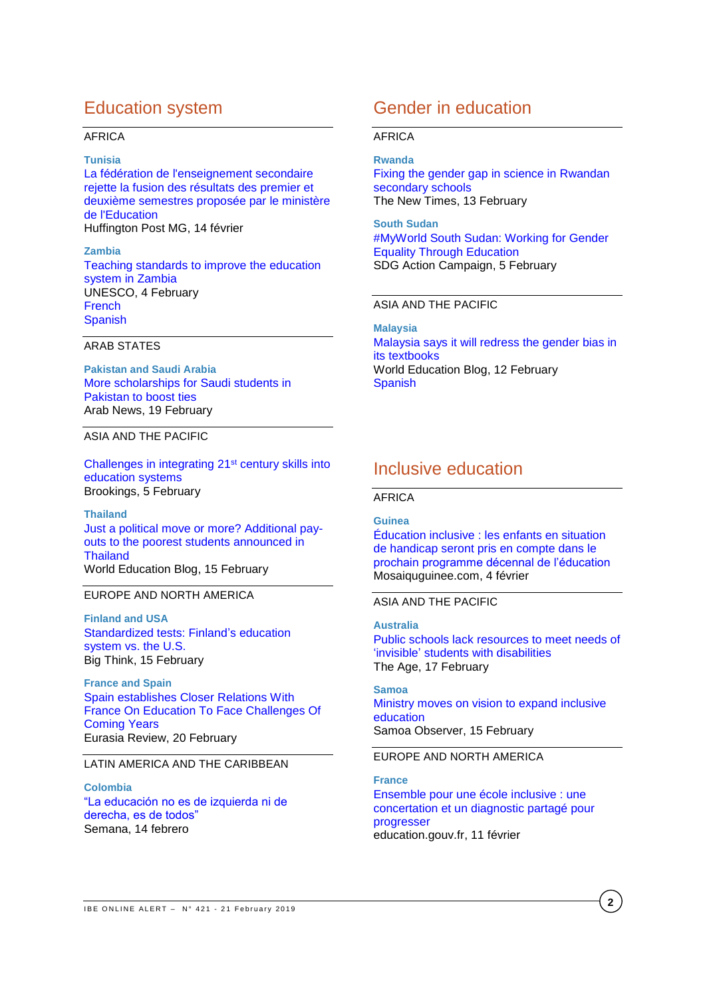## Education system

### AFRICA

#### **Tunisia**

[La fédération de l'enseignement secondaire](https://www.huffpostmaghreb.com/entry/la-federation-de-lenseignement-secondaire-rejette-la-fusion-des-resultats-des-premier-et-deuxieme-semestres-proposee-par-le-ministere-de-leducation_mg_5c63e443e4b07115222b98b7)  [rejette la fusion des résultats des premier et](https://www.huffpostmaghreb.com/entry/la-federation-de-lenseignement-secondaire-rejette-la-fusion-des-resultats-des-premier-et-deuxieme-semestres-proposee-par-le-ministere-de-leducation_mg_5c63e443e4b07115222b98b7)  [deuxième semestres proposée par le ministère](https://www.huffpostmaghreb.com/entry/la-federation-de-lenseignement-secondaire-rejette-la-fusion-des-resultats-des-premier-et-deuxieme-semestres-proposee-par-le-ministere-de-leducation_mg_5c63e443e4b07115222b98b7)  [de l'Education](https://www.huffpostmaghreb.com/entry/la-federation-de-lenseignement-secondaire-rejette-la-fusion-des-resultats-des-premier-et-deuxieme-semestres-proposee-par-le-ministere-de-leducation_mg_5c63e443e4b07115222b98b7) Huffington Post MG, 14 février

**Zambia** [Teaching standards to improve the education](https://en.unesco.org/news/teaching-standards-improve-education-system-zambia)  [system in Zambia](https://en.unesco.org/news/teaching-standards-improve-education-system-zambia) UNESCO, 4 February [French](https://fr.unesco.org/news/normes-denseignement-ameliorer-systeme-educatif-zambie) [Spanish](https://es.unesco.org/news/normas-pedagogicas-mejorar-calidad-del-sistema-educativo-zambia)

### ARAB STATES

**Pakistan and Saudi Arabia** [More scholarships for Saudi students in](http://www.arabnews.com/node/1454391/saudi-arabia)  [Pakistan to boost ties](http://www.arabnews.com/node/1454391/saudi-arabia) Arab News, 19 February

### ASIA AND THE PACIFIC

[Challenges in integrating 21](https://www.brookings.edu/blog/education-plus-development/2019/02/05/challenges-in-integrating-21st-century-skills-into-education-system/)st century skills into [education systems](https://www.brookings.edu/blog/education-plus-development/2019/02/05/challenges-in-integrating-21st-century-skills-into-education-system/) Brookings, 5 February

**Thailand** Just [a political move or more? Additional pay](https://gemreportunesco.wordpress.com/2019/02/15/just-a-political-move-or-more-additional-pay-outs-to-the-poorest-students-announced-in-thailand/)[outs to the poorest students announced in](https://gemreportunesco.wordpress.com/2019/02/15/just-a-political-move-or-more-additional-pay-outs-to-the-poorest-students-announced-in-thailand/)  **[Thailand](https://gemreportunesco.wordpress.com/2019/02/15/just-a-political-move-or-more-additional-pay-outs-to-the-poorest-students-announced-in-thailand/)** World Education Blog, 15 February

### EUROPE AND NORTH AMERICA

**Finland and USA** [Standardized tests: Finland's education](https://bigthink.com/politics-current-affairs/standardized-tests-finlands-education-system-vs-the-u-s)  [system vs. the U.S.](https://bigthink.com/politics-current-affairs/standardized-tests-finlands-education-system-vs-the-u-s) Big Think, 15 February

**France and Spain** [Spain establishes Closer Relations With](https://www.eurasiareview.com/20022019-spain-establishes-closer-relations-with-france-on-education-to-face-challenges-of-coming-years/)  [France On Education To Face Challenges Of](https://www.eurasiareview.com/20022019-spain-establishes-closer-relations-with-france-on-education-to-face-challenges-of-coming-years/)  [Coming Years](https://www.eurasiareview.com/20022019-spain-establishes-closer-relations-with-france-on-education-to-face-challenges-of-coming-years/) Eurasia Review, 20 February

### LATIN AMERICA AND THE CARIBBEAN

**Colombia** ["La educación no es de izquierda ni de](https://www.semana.com/educacion/articulo/entrevista-ministra-de-educacion-maria-victoria-angulo/601291)  [derecha, es de todos"](https://www.semana.com/educacion/articulo/entrevista-ministra-de-educacion-maria-victoria-angulo/601291) Semana, 14 febrero

## Gender in education

### AFRICA

**Rwanda**

[Fixing the gender gap in science in Rwandan](https://www.newtimes.co.rw/opinions/gender-gap-science-rwanda)  [secondary schools](https://www.newtimes.co.rw/opinions/gender-gap-science-rwanda) The New Times, 13 February

**South Sudan** [#MyWorld South Sudan: Working](https://sdgactioncampaign.org/2019/02/05/south-sudan-working-for-gender-equality-through-education/) for Gender [Equality Through Education](https://sdgactioncampaign.org/2019/02/05/south-sudan-working-for-gender-equality-through-education/) SDG Action Campaign, 5 February

### ASIA AND THE PACIFIC

**Malaysia**

[Malaysia says it will redress the gender bias in](https://gemreportunesco.wordpress.com/2019/02/12/malaysia-says-it-will-redress-the-gender-bias-in-its-textbooks/)  [its textbooks](https://gemreportunesco.wordpress.com/2019/02/12/malaysia-says-it-will-redress-the-gender-bias-in-its-textbooks/) World Education Blog, 12 February **[Spanish](https://educacionmundialblog.wordpress.com/2019/02/12/malasia-dice-que-corregira-el-sesgo-de-genero-en-sus-libros-de-texto/)** 

## Inclusive education

### AFRICA

#### **Guinea**

[Éducation inclusive : les enfants en situation](https://mosaiqueguinee.com/2019/02/18/education-inclusive-les-enfants-en-situation-de-handicap-seront-pris-en-compte-dans-le-prochain-programme-decennal-de-leducation/)  [de handicap seront pris en compte dans le](https://mosaiqueguinee.com/2019/02/18/education-inclusive-les-enfants-en-situation-de-handicap-seront-pris-en-compte-dans-le-prochain-programme-decennal-de-leducation/)  [prochain programme décennal de l'éducation](https://mosaiqueguinee.com/2019/02/18/education-inclusive-les-enfants-en-situation-de-handicap-seront-pris-en-compte-dans-le-prochain-programme-decennal-de-leducation/) Mosaiquguinee.com, 4 février

### ASIA AND THE PACIFIC

**Australia** [Public schools lack resources to meet needs of](https://www.theage.com.au/politics/federal/public-schools-lack-resources-to-meet-needs-of-invisible-students-with-disabilities-20190215-p50y0f.html?fbclid=IwAR0X_L6csg8genjoXRhQoa5m8gKMDwuxvlaJddJJh_kL3CRiZd70Ltgzf9U)  'invisible' [students with disabilities](https://www.theage.com.au/politics/federal/public-schools-lack-resources-to-meet-needs-of-invisible-students-with-disabilities-20190215-p50y0f.html?fbclid=IwAR0X_L6csg8genjoXRhQoa5m8gKMDwuxvlaJddJJh_kL3CRiZd70Ltgzf9U) The Age, 17 February

**Samoa** [Ministry moves on vision to expand inclusive](http://sobserver.ws/en/16_02_2019/local/41238/Ministry-moves-on-vision-to-expand-inclusive-education.htm)  [education](http://sobserver.ws/en/16_02_2019/local/41238/Ministry-moves-on-vision-to-expand-inclusive-education.htm) Samoa Observer, 15 February

### EUROPE AND NORTH AMERICA

**France** [Ensemble pour une école inclusive : une](http://www.education.gouv.fr/cid138964/ensemble-pour-une-ecole-inclusive-une-concertation-et-un-diagnostic-partage-pour-progresser.html)  [concertation et un diagnostic partagé pour](http://www.education.gouv.fr/cid138964/ensemble-pour-une-ecole-inclusive-une-concertation-et-un-diagnostic-partage-pour-progresser.html)  [progresser](http://www.education.gouv.fr/cid138964/ensemble-pour-une-ecole-inclusive-une-concertation-et-un-diagnostic-partage-pour-progresser.html) education.gouv.fr, 11 février

**2**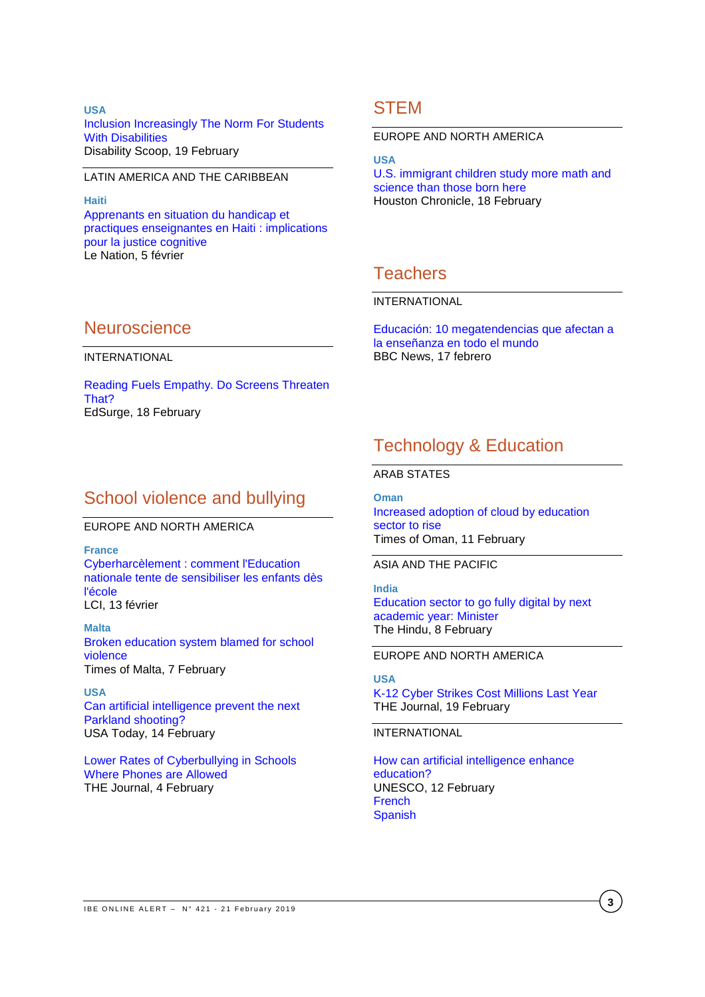**USA** [Inclusion Increasingly The Norm For Students](https://www.disabilityscoop.com/2019/02/19/inclusion-increasingly-norm/26067/)  [With Disabilities](https://www.disabilityscoop.com/2019/02/19/inclusion-increasingly-norm/26067/) Disability Scoop, 19 February

### LATIN AMERICA AND THE CARIBBEAN

**Haiti** Apprenants [en situation du handicap et](http://www.lenational.org/post_free.php?elif=1_CONTENUE/societes&rebmun=2980)  [practiques enseignantes en Haiti](http://www.lenational.org/post_free.php?elif=1_CONTENUE/societes&rebmun=2980) : implications [pour la justice cognitive](http://www.lenational.org/post_free.php?elif=1_CONTENUE/societes&rebmun=2980) Le Nation, 5 février

## **STEM**

EUROPE AND NORTH AMERICA

**USA**

[U.S. immigrant children study more math and](https://www.houstonchronicle.com/life/article/U-S-immigrant-children-study-more-math-and-13625507.php)  [science than those born here](https://www.houstonchronicle.com/life/article/U-S-immigrant-children-study-more-math-and-13625507.php) Houston Chronicle, 18 February

## **Teachers**

### INTERNATIONAL

[Educación: 10 megatendencias que afectan a](https://www.bbc.com/mundo/noticias-47184461)  [la enseñanza en todo el mundo](https://www.bbc.com/mundo/noticias-47184461) BBC News, 17 febrero

## **Neuroscience**

INTERNATIONAL

[Reading Fuels Empathy. Do Screens Threaten](https://www.edsurge.com/news/2019-02-18-reading-fuels-empathy-do-screens-threaten-that)  [That?](https://www.edsurge.com/news/2019-02-18-reading-fuels-empathy-do-screens-threaten-that) EdSurge, 18 February

## School violence and bullying

EUROPE AND NORTH AMERICA

**France** [Cyberharcèlement : comment l'Education](https://www.lci.fr/high-tech/cyberharcelement-comment-l-education-nationale-tente-de-sensibiliser-les-enfants-des-l-ecole-facebook-e-enfance-safer-internet-day-2112747.html)  [nationale tente de sensibiliser les enfants dès](https://www.lci.fr/high-tech/cyberharcelement-comment-l-education-nationale-tente-de-sensibiliser-les-enfants-des-l-ecole-facebook-e-enfance-safer-internet-day-2112747.html)  [l'école](https://www.lci.fr/high-tech/cyberharcelement-comment-l-education-nationale-tente-de-sensibiliser-les-enfants-des-l-ecole-facebook-e-enfance-safer-internet-day-2112747.html) LCI, 13 février

**Malta** [Broken education system blamed for school](https://eu.usatoday.com/story/tech/2019/02/13/preventing-next-parkland-artificial-intelligence-may-help/2801369002/)  [violence](https://eu.usatoday.com/story/tech/2019/02/13/preventing-next-parkland-artificial-intelligence-may-help/2801369002/) Times of Malta, 7 February

**USA** [Can artificial intelligence prevent the next](https://eu.usatoday.com/story/tech/2019/02/13/preventing-next-parkland-artificial-intelligence-may-help/2801369002/)  [Parkland shooting?](https://eu.usatoday.com/story/tech/2019/02/13/preventing-next-parkland-artificial-intelligence-may-help/2801369002/) USA Today, 14 February

[Lower Rates of Cyberbullying in Schools](https://thejournal.com/articles/2019/02/04/lower-rates-of-cyberbullying-in-schools-where-phones-are-allowed.aspx)  [Where Phones are Allowed](https://thejournal.com/articles/2019/02/04/lower-rates-of-cyberbullying-in-schools-where-phones-are-allowed.aspx) THE Journal, 4 February

## Technology & Education

ARAB STATES

**Oman** [Increased adoption of cloud by education](https://timesofoman.com/article/820252)  [sector to rise](https://timesofoman.com/article/820252) Times of Oman, 11 February

ASIA AND THE PACIFIC

**India** [Education sector to go fully digital by next](https://www.thehindu.com/news/cities/kozhikode/education-sector-to-go-fully-digital-by-next-academic-year-minister/article26218353.ece)  [academic year:](https://www.thehindu.com/news/cities/kozhikode/education-sector-to-go-fully-digital-by-next-academic-year-minister/article26218353.ece) Minister The Hindu, 8 February

EUROPE AND NORTH AMERICA

**USA** [K-12 Cyber Strikes Cost Millions Last Year](https://thejournal.com/articles/2019/02/19/k12-cyber-strikes-cost-millions-last-year.aspx) THE Journal, 19 February

INTERNATIONAL

[How can artificial intelligence](https://en.unesco.org/news/how-can-artificial-intelligence-enhance-education) enhance [education?](https://en.unesco.org/news/how-can-artificial-intelligence-enhance-education) UNESCO, 12 February **[French](https://fr.unesco.org/news/comment-lintelligence-artificielle-peut-elle-renforcer-leducation)** [Spanish](https://es.unesco.org/news/como-inteligencia-artificial-puede-reforzar-educacion)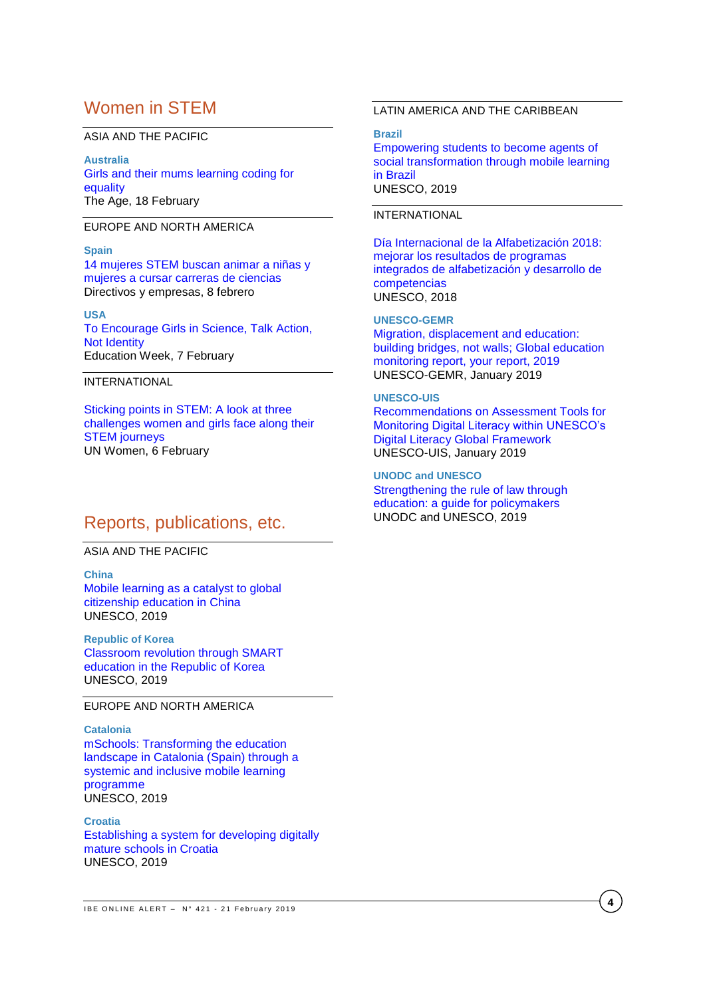## Women in STEM

#### ASIA AND THE PACIFIC

**Australia** Girls [and their mums learning coding for](https://www.theage.com.au/national/victoria/girls-and-their-mums-learning-coding-for-equality-20190117-p50ryx.html)  [equality](https://www.theage.com.au/national/victoria/girls-and-their-mums-learning-coding-for-equality-20190117-p50ryx.html) The Age, 18 February

### EUROPE AND NORTH AMERICA

#### **Spain**

[14 mujeres STEM buscan animar a niñas y](https://www.directivosyempresas.com/empresas/rsc/14-mujeres-stem-buscan-animar-a-ninas-y-mujeres/)  [mujeres a cursar carreras de ciencias](https://www.directivosyempresas.com/empresas/rsc/14-mujeres-stem-buscan-animar-a-ninas-y-mujeres/) Directivos y empresas, 8 febrero

#### **USA**

[To Encourage Girls in Science, Talk Action,](http://blogs.edweek.org/edweek/inside-school-research/2019/02/Talk_action_not_identity_to_encourage_girls_in_science_.html)  [Not Identity](http://blogs.edweek.org/edweek/inside-school-research/2019/02/Talk_action_not_identity_to_encourage_girls_in_science_.html) Education Week, 7 February

### INTERNATIONAL

[Sticking points in STEM: A look at three](https://medium.com/we-the-peoples/sticking-points-in-stem-e552615d4511)  [challenges women and girls face along their](https://medium.com/we-the-peoples/sticking-points-in-stem-e552615d4511)  [STEM journeys](https://medium.com/we-the-peoples/sticking-points-in-stem-e552615d4511) UN Women, 6 February

## Reports, publications, etc.

## ASIA AND THE PACIFIC

**China** [Mobile learning as a catalyst to global](https://unesdoc.unesco.org/ark:/48223/pf0000366725)  [citizenship education in China](https://unesdoc.unesco.org/ark:/48223/pf0000366725) UNESCO, 2019

### **Republic of Korea** [Classroom revolution through SMART](https://unesdoc.unesco.org/ark:/48223/pf0000366729)  [education in the Republic of Korea](https://unesdoc.unesco.org/ark:/48223/pf0000366729) UNESCO, 2019

### EUROPE AND NORTH AMERICA

**Catalonia** mSchools: [Transforming the education](https://unesdoc.unesco.org/ark:/48223/pf0000366726)  [landscape in Catalonia \(Spain\) through a](https://unesdoc.unesco.org/ark:/48223/pf0000366726)  [systemic and inclusive mobile](https://unesdoc.unesco.org/ark:/48223/pf0000366726) learning [programme](https://unesdoc.unesco.org/ark:/48223/pf0000366726) UNESCO, 2019

**Croatia** [Establishing a system for developing digitally](https://unesdoc.unesco.org/ark:/48223/pf0000366727)  [mature schools in Croatia](https://unesdoc.unesco.org/ark:/48223/pf0000366727) UNESCO, 2019

### LATIN AMERICA AND THE CARIBBEAN

#### **Brazil**

[Empowering students to become agents of](https://unesdoc.unesco.org/ark:/48223/pf0000366724)  [social transformation through mobile learning](https://unesdoc.unesco.org/ark:/48223/pf0000366724)  [in Brazil](https://unesdoc.unesco.org/ark:/48223/pf0000366724) UNESCO, 2019

### INTERNATIONAL

[Día Internacional de la Alfabetización 2018:](https://unesdoc.unesco.org/ark:/48223/pf0000265586_spa)  [mejorar los resultados de programas](https://unesdoc.unesco.org/ark:/48223/pf0000265586_spa)  [integrados de alfabetización y desarrollo de](https://unesdoc.unesco.org/ark:/48223/pf0000265586_spa)  [competencias](https://unesdoc.unesco.org/ark:/48223/pf0000265586_spa) UNESCO, 2018

#### **UNESCO-GEMR**

[Migration, displacement and education:](https://unesdoc.unesco.org/ark:/48223/pf0000266274)  [building bridges, not walls; Global education](https://unesdoc.unesco.org/ark:/48223/pf0000266274)  [monitoring report, your report, 2019](https://unesdoc.unesco.org/ark:/48223/pf0000266274) UNESCO-GEMR, January 2019

### **UNESCO-UIS**

[Recommendations on Assessment Tools for](http://uis.unesco.org/sites/default/files/documents/ip56-recommendations-assessment-tools-digital-literacy-2019-en.pdf)  [Monitoring Digital Literacy within UNESCO's](http://uis.unesco.org/sites/default/files/documents/ip56-recommendations-assessment-tools-digital-literacy-2019-en.pdf)  [Digital Literacy Global Framework](http://uis.unesco.org/sites/default/files/documents/ip56-recommendations-assessment-tools-digital-literacy-2019-en.pdf) UNESCO-UIS, January 2019

**UNODC and UNESCO** [Strengthening the rule of law through](https://unesdoc.unesco.org/ark:/48223/pf0000366771)  [education: a guide for policymakers](https://unesdoc.unesco.org/ark:/48223/pf0000366771) UNODC and UNESCO, 2019

**4**